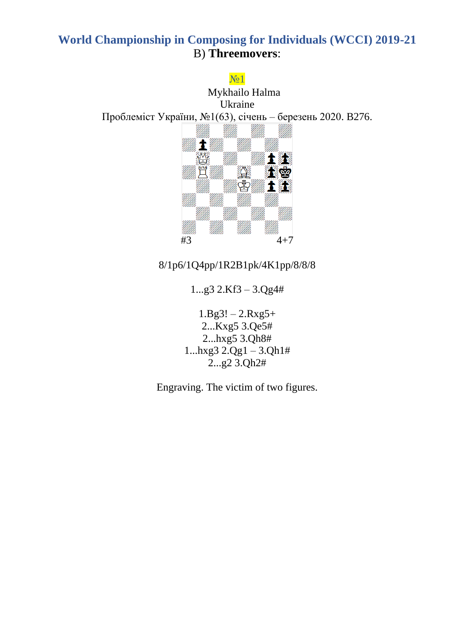### №1

Mykhailo Halma Ukraine Проблеміст України, №1(63), січень – березень 2020. B276.



### 8/1p6/1Q4pp/1R2B1pk/4K1pp/8/8/8

1...g3 2.Kf3 – 3.Qg4#

 $1.Bg3! - 2.Rxg5+$ 2...Kxg5 3.Qe5# 2...hxg5 3.Qh8#  $1...h$ xg $3$   $2.Qg1 - 3.Qh1#$ 2...g2 3.Qh2#

Engraving. The victim of two figures.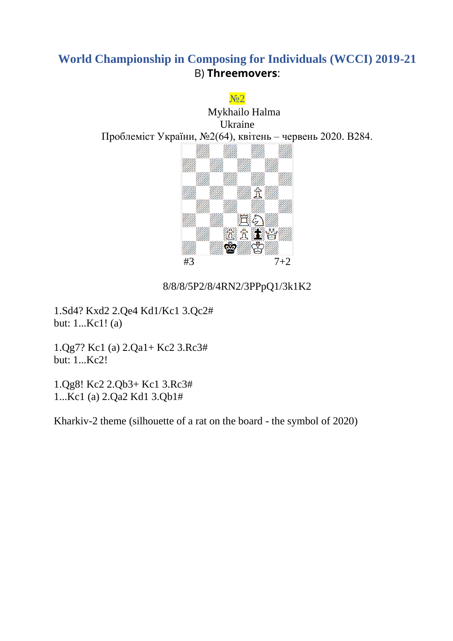

#### 8/8/8/5P2/8/4RN2/3PPpQ1/3k1K2

1.Sd4? Kxd2 2.Qe4 Kd1/Kc1 3.Qc2# but: 1...Kc1! (a)

1.Qg7? Kc1 (a) 2.Qa1+ Kc2 3.Rc3# but: 1...Kc2!

1.Qg8! Kc2 2.Qb3+ Kc1 3.Rc3# 1...Kc1 (a) 2.Qa2 Kd1 3.Qb1#

Kharkiv-2 theme (silhouette of a rat on the board - the symbol of 2020)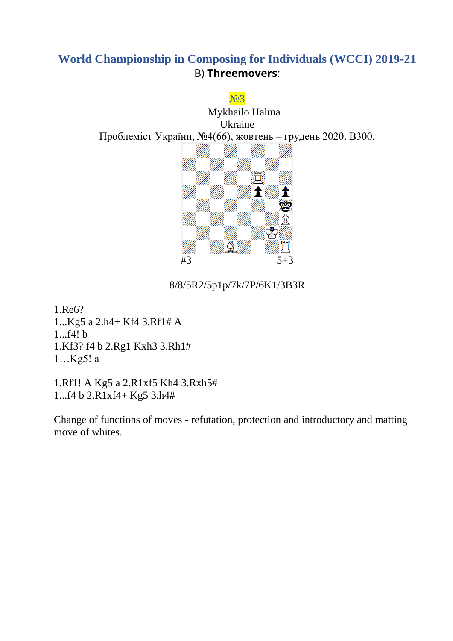

8/8/5R2/5p1p/7k/7P/6K1/3B3R

1.Re6? 1...Kg5 a 2.h4+ Kf4 3.Rf1# A 1...f4! b 1.Kf3? f4 b 2.Rg1 Kxh3 3.Rh1# 1…Kg5! a

1.Rf1! A Kg5 a 2.R1xf5 Kh4 3.Rxh5# 1...f4 b 2.R1xf4+ Kg5 3.h4#

Change of functions of moves - refutation, protection and introductory and matting move of whites.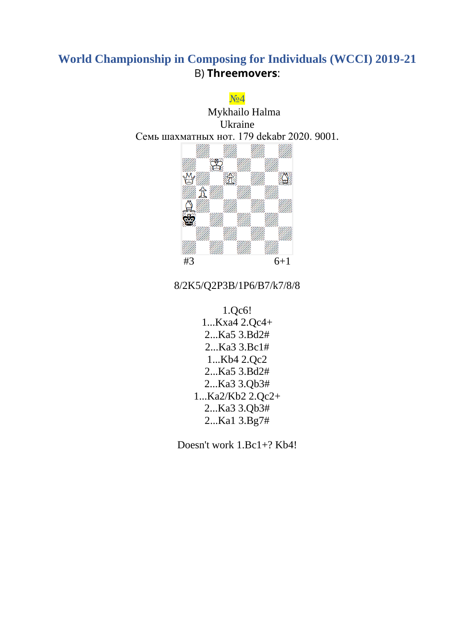

### 8/2K5/Q2P3B/1P6/B7/k7/8/8

1.Qc6! 1...Kxa4 2.Qc4+ 2...Ka5 3.Bd2# 2...Ka3 3.Bc1# 1...Kb4 2.Qc2 2...Ka5 3.Bd2# 2...Ka3 3.Qb3# 1...Ka2/Kb2 2.Qc2+ 2...Ka3 3.Qb3# 2...Ka1 3.Bg7#

Doesn't work 1.Bc1+? Kb4!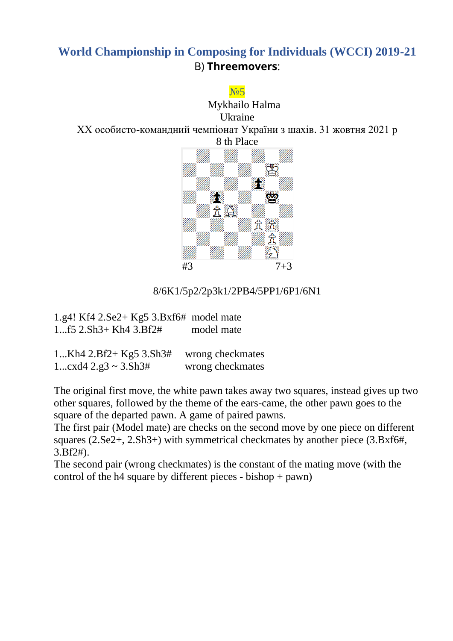#### N<sub>05</sub>

Mykhailo Halma Ukraine ХХ особисто-командний чемпіонат України з шахів. 31 жовтня 2021 р 8 th Place



#### 8/6K1/5p2/2p3k1/2PB4/5PP1/6P1/6N1

| $1.g4! Kf4 2.Se2+ Kg5 3.Bxf6# model mate$ |            |
|-------------------------------------------|------------|
| $1f5$ $2.Sh3+Kh4$ $3.Bf2#$                | model mate |

| 1Kh $4$ 2.Bf2+ Kg5 3.Sh3#                          | wrong checkmates |
|----------------------------------------------------|------------------|
| 1 $\text{cxd}4 \, 2.\text{g}3 \sim 3.\text{Sh}3\#$ | wrong checkmates |

The original first move, the white pawn takes away two squares, instead gives up two other squares, followed by the theme of the ears-came, the other pawn goes to the square of the departed pawn. A game of paired pawns.

The first pair (Model mate) are checks on the second move by one piece on different squares (2.Se2+, 2.Sh3+) with symmetrical checkmates by another piece (3.Bxf6#, 3.Bf2#).

The second pair (wrong checkmates) is the constant of the mating move (with the control of the h4 square by different pieces - bishop + pawn)